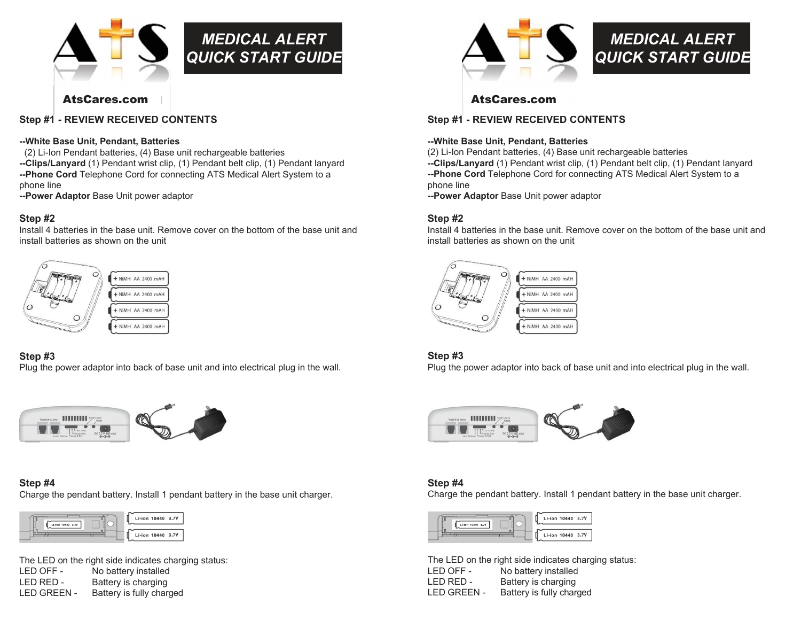

# MEDICAL ALERT QUICK START GUIDE

#### Step #1 - REVIEW RECEIVED CONTENTS

#### --White Base Unit, Pendant, Batteries

(2) Li-Ion Pendant batteries, (4) Base unit rechargeable batteries --Clips/Lanyard (1) Pendant wrist clip, (1) Pendant belt clip, (1) Pendant lanyard

--Phone Cord Telephone Cord for connecting ATS Medical Alert System to a phone line

--Power Adaptor Base Unit power adaptor

#### Step #2

Install 4 batteries in the base unit. Remove cover on the bottom of the base unit and install batteries as shown on the unit



#### Step #3

Plug the power adaptor into back of base unit and into electrical plug in the wall.



#### Step #4

Charge the pendant battery. Install 1 pendant battery in the base unit charger.



The LED on the right side indicates charging status: LED OFF - No battery installed LED RED - Battery is charging LED GREEN - Battery is fully charged



## MEDICAL ALERT QUICK START GUIDE

### www.ats-tn.com www.ats-tn.com AtsCares.com AtsCares.com

#### Step #1 - REVIEW RECEIVED CONTENTS

#### --White Base Unit, Pendant, Batteries

(2) Li-Ion Pendant batteries, (4) Base unit rechargeable batteries --Clips/Lanyard (1) Pendant wrist clip, (1) Pendant belt clip, (1) Pendant lanyard -- Phone Cord Telephone Cord for connecting ATS Medical Alert System to a phone line

--Power Adaptor Base Unit power adaptor

#### Step #2

Install 4 batteries in the base unit. Remove cover on the bottom of the base unit and install batteries as shown on the unit



#### Step #3

Plug the power adaptor into back of base unit and into electrical plug in the wall.



#### Step #4

Charge the pendant battery. Install 1 pendant battery in the base unit charger.



The LED on the right side indicates charging status: LED OFF - No battery installed LED RED - Battery is charging LED GREEN - Battery is fully charged